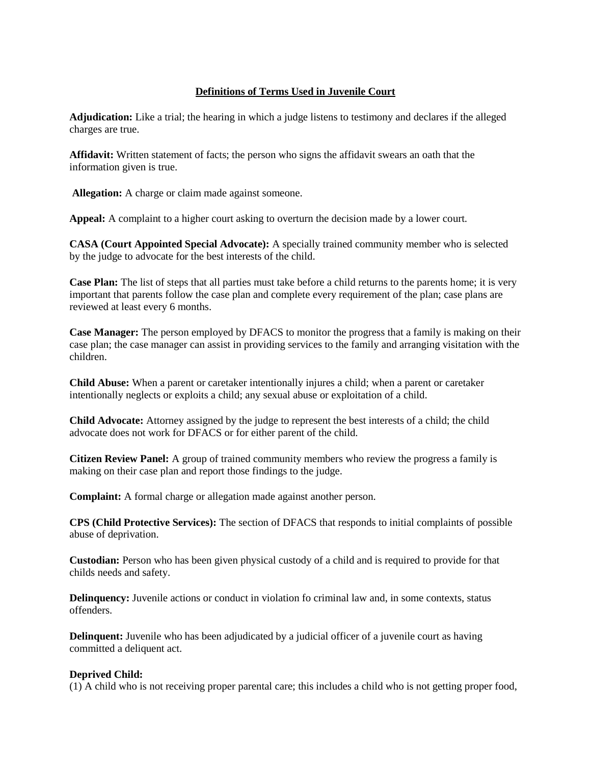## **Definitions of Terms Used in Juvenile Court**

**Adjudication:** Like a trial; the hearing in which a judge listens to testimony and declares if the alleged charges are true.

**Affidavit:** Written statement of facts; the person who signs the affidavit swears an oath that the information given is true.

**Allegation:** A charge or claim made against someone.

**Appeal:** A complaint to a higher court asking to overturn the decision made by a lower court.

**CASA (Court Appointed Special Advocate):** A specially trained community member who is selected by the judge to advocate for the best interests of the child.

**Case Plan:** The list of steps that all parties must take before a child returns to the parents home; it is very important that parents follow the case plan and complete every requirement of the plan; case plans are reviewed at least every 6 months.

**Case Manager:** The person employed by DFACS to monitor the progress that a family is making on their case plan; the case manager can assist in providing services to the family and arranging visitation with the children.

**Child Abuse:** When a parent or caretaker intentionally injures a child; when a parent or caretaker intentionally neglects or exploits a child; any sexual abuse or exploitation of a child.

**Child Advocate:** Attorney assigned by the judge to represent the best interests of a child; the child advocate does not work for DFACS or for either parent of the child.

**Citizen Review Panel:** A group of trained community members who review the progress a family is making on their case plan and report those findings to the judge.

**Complaint:** A formal charge or allegation made against another person.

**CPS (Child Protective Services):** The section of DFACS that responds to initial complaints of possible abuse of deprivation.

**Custodian:** Person who has been given physical custody of a child and is required to provide for that childs needs and safety.

**Delinquency:** Juvenile actions or conduct in violation fo criminal law and, in some contexts, status offenders.

**Delinquent:** Juvenile who has been adjudicated by a judicial officer of a juvenile court as having committed a deliquent act.

## **Deprived Child:**

(1) A child who is not receiving proper parental care; this includes a child who is not getting proper food,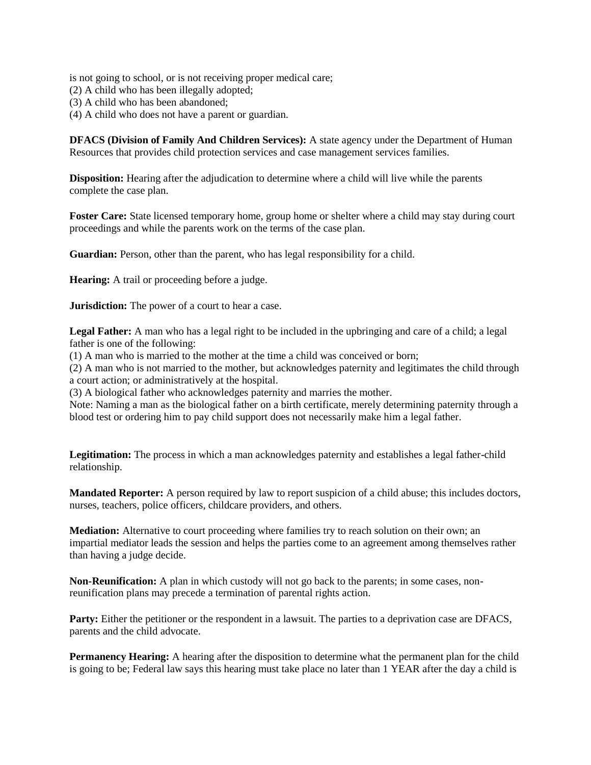is not going to school, or is not receiving proper medical care;

- (2) A child who has been illegally adopted;
- (3) A child who has been abandoned;
- (4) A child who does not have a parent or guardian.

**DFACS (Division of Family And Children Services):** A state agency under the Department of Human Resources that provides child protection services and case management services families.

**Disposition:** Hearing after the adjudication to determine where a child will live while the parents complete the case plan.

**Foster Care:** State licensed temporary home, group home or shelter where a child may stay during court proceedings and while the parents work on the terms of the case plan.

**Guardian:** Person, other than the parent, who has legal responsibility for a child.

**Hearing:** A trail or proceeding before a judge.

**Jurisdiction:** The power of a court to hear a case.

**Legal Father:** A man who has a legal right to be included in the upbringing and care of a child; a legal father is one of the following:

(1) A man who is married to the mother at the time a child was conceived or born;

(2) A man who is not married to the mother, but acknowledges paternity and legitimates the child through a court action; or administratively at the hospital.

(3) A biological father who acknowledges paternity and marries the mother.

Note: Naming a man as the biological father on a birth certificate, merely determining paternity through a blood test or ordering him to pay child support does not necessarily make him a legal father.

**Legitimation:** The process in which a man acknowledges paternity and establishes a legal father-child relationship.

**Mandated Reporter:** A person required by law to report suspicion of a child abuse; this includes doctors, nurses, teachers, police officers, childcare providers, and others.

**Mediation:** Alternative to court proceeding where families try to reach solution on their own; an impartial mediator leads the session and helps the parties come to an agreement among themselves rather than having a judge decide.

**Non-Reunification:** A plan in which custody will not go back to the parents; in some cases, nonreunification plans may precede a termination of parental rights action.

**Party:** Either the petitioner or the respondent in a lawsuit. The parties to a deprivation case are DFACS, parents and the child advocate.

**Permanency Hearing:** A hearing after the disposition to determine what the permanent plan for the child is going to be; Federal law says this hearing must take place no later than 1 YEAR after the day a child is